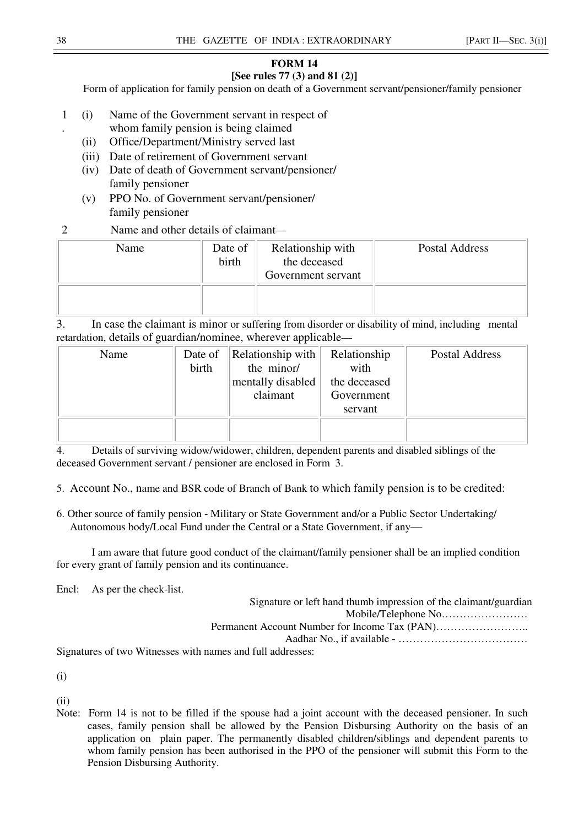## **FORM 14 [See rules 77 (3) and 81 (2)]**

Form of application for family pension on death of a Government servant/pensioner/family pensioner

- 1 (i) Name of the Government servant in respect of
	- whom family pension is being claimed
	- (ii) Office/Department/Ministry served last
- (iii) Date of retirement of Government servant
	- (iv) Date of death of Government servant/pensioner/ family pensioner
	- (v) PPO No. of Government servant/pensioner/ family pensioner
- 2 Name and other details of claimant—

| Name | Date of<br>birth | Relationship with<br>the deceased<br>Government servant | Postal Address |
|------|------------------|---------------------------------------------------------|----------------|
|      |                  |                                                         |                |

3. In case the claimant is minor or suffering from disorder or disability of mind, including mental retardation, details of guardian/nominee, wherever applicable—

| Name | Date of | Relationship with | Relationship | Postal Address |
|------|---------|-------------------|--------------|----------------|
|      | birth   | the minor/        | with         |                |
|      |         | mentally disabled | the deceased |                |
|      |         | claimant          | Government   |                |
|      |         |                   | servant      |                |
|      |         |                   |              |                |
|      |         |                   |              |                |

4. Details of surviving widow/widower, children, dependent parents and disabled siblings of the deceased Government servant / pensioner are enclosed in Form 3.

5. Account No., name and BSR code of Branch of Bank to which family pension is to be credited:

6. Other source of family pension - Military or State Government and/or a Public Sector Undertaking/ Autonomous body/Local Fund under the Central or a State Government, if any—

I am aware that future good conduct of the claimant/family pensioner shall be an implied condition for every grant of family pension and its continuance.

Encl: As per the check-list.

| Signature or left hand thumb impression of the claimant/guardian |
|------------------------------------------------------------------|
|                                                                  |
|                                                                  |
|                                                                  |
| Signatures of two Witnesses with names and full addresses:       |

(i)

(ii)

Note: Form 14 is not to be filled if the spouse had a joint account with the deceased pensioner. In such cases, family pension shall be allowed by the Pension Disbursing Authority on the basis of an application on plain paper. The permanently disabled children/siblings and dependent parents to whom family pension has been authorised in the PPO of the pensioner will submit this Form to the Pension Disbursing Authority.

.